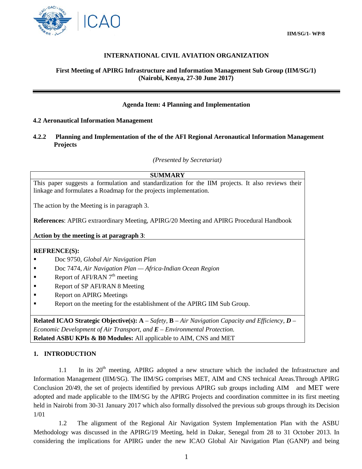

# **INTERNATIONAL CIVIL AVIATION ORGANIZATION**

#### **First Meeting of APIRG Infrastructure and Information Management Sub Group (IIM/SG/1) (Nairobi, Kenya, 27-30 June 2017)**

# **Agenda Item: 4 Planning and Implementation**

#### **4.2 Aeronautical Information Management**

#### **4.2.2 Planning and Implementation of the of the AFI Regional Aeronautical Information Management Projects**

*(Presented by Secretariat)*

# **SUMMARY**

This paper suggests a formulation and standardization for the IIM projects. It also reviews their linkage and formulates a Roadmap for the projects implementation.

The action by the Meeting is in paragraph 3.

**References**: APIRG extraordinary Meeting, APIRG/20 Meeting and APIRG Procedural Handbook

**Action by the meeting is at paragraph 3**:

#### **REFRENCE(S):**

- Doc 9750, *Global Air Navigation Plan*
- Doc 7474, *Air Navigation Plan — Africa-Indian Ocean Region*
- Report of AFI/RAN  $7<sup>th</sup>$  meeting
- Report of SP AFI/RAN 8 Meeting
- **Report on APIRG Meetings**
- Report on the meeting for the establishment of the APIRG IIM Sub Group.

**Related ICAO Strategic Objective(s): A** – *Safety,* **B** – *Air Navigation Capacity and Efficiency, D – Economic Development of Air Transport, and E – Environmental Protection.* **Related ASBU KPIs & B0 Modules:** All applicable to AIM, CNS and MET

#### **1. INTRODUCTION**

1.1 In its  $20<sup>th</sup>$  meeting, APIRG adopted a new structure which the included the Infrastructure and Information Management (IIM/SG). The IIM/SG comprises MET, AIM and CNS technical Areas.Through APIRG Conclusion 20/49, the set of projects identified by previous APIRG sub groups including AIM and MET were adopted and made applicable to the IIM/SG by the APIRG Projects and coordination committee in its first meeting held in Nairobi from 30-31 January 2017 which also formally dissolved the previous sub groups through its Decision 1/01

1.2 The alignment of the Regional Air Navigation System Implementation Plan with the ASBU Methodology was discussed in the APIRG/19 Meeting, held in Dakar, Senegal from 28 to 31 October 2013. In considering the implications for APIRG under the new ICAO Global Air Navigation Plan (GANP) and being